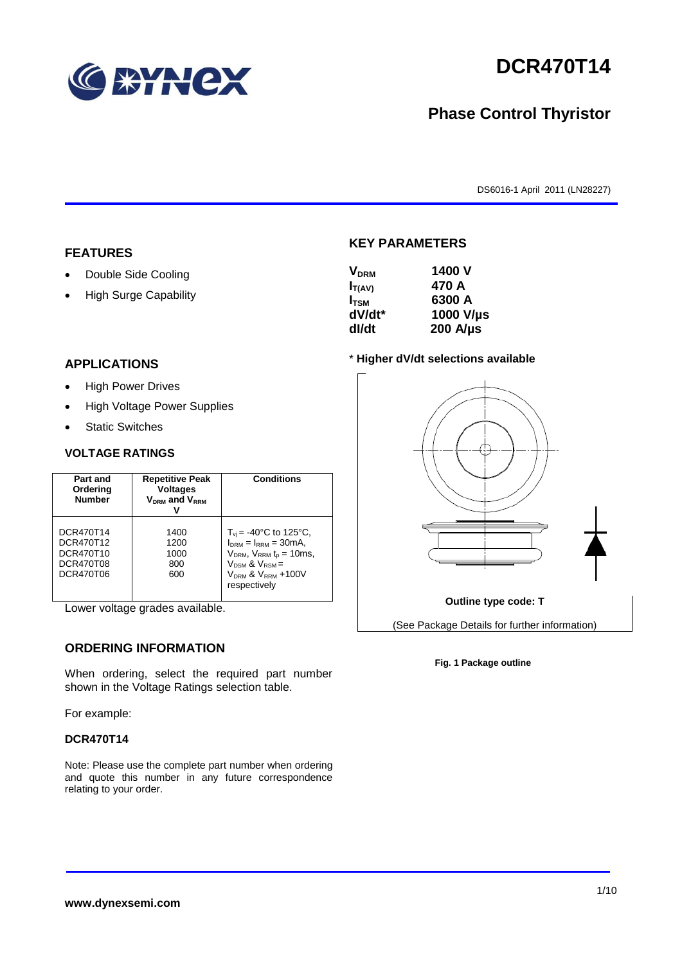

# **DCR470T14**

## **Phase Control Thyristor**

DS6016-1 April 2011 (LN28227)

#### **FEATURES**

- Double Side Cooling
- High Surge Capability

#### **APPLICATIONS**

- High Power Drives
- High Voltage Power Supplies
- Static Switches

#### **VOLTAGE RATINGS**

| Part and<br>Ordering<br><b>Number</b>                         | <b>Repetitive Peak</b><br><b>Voltages</b><br>$V_{DRM}$ and $V_{RRM}$ | <b>Conditions</b>                                                                                                                                                                           |
|---------------------------------------------------------------|----------------------------------------------------------------------|---------------------------------------------------------------------------------------------------------------------------------------------------------------------------------------------|
| DCR470T14<br>DCR470T12<br>DCR470T10<br>DCR470T08<br>DCR470T06 | 1400<br>1200<br>1000<br>800<br>600                                   | $T_{vi}$ = -40°C to 125°C,<br>$I_{DRM} = I_{RRM} = 30mA$ ,<br>$V_{DRM}$ , $V_{RRM}$ $t_{p}$ = 10ms,<br>$V_{DSM}$ & $V_{RSM}$ =<br>V <sub>DRM</sub> & V <sub>RRM</sub> +100V<br>respectively |

Lower voltage grades available.

## **ORDERING INFORMATION**

When ordering, select the required part number shown in the Voltage Ratings selection table.

For example:

#### **DCR470T14**

Note: Please use the complete part number when ordering and quote this number in any future correspondence relating to your order.

#### **KEY PARAMETERS**

| <b>V<sub>DRM</sub></b> | 1400 V           |
|------------------------|------------------|
| $I_{T(AV)}$            | 470 A            |
| $I_{TSM}$              | 6300 A           |
| dV/dt*                 | 1000 V/µs        |
| dl/dt                  | $200$ A/ $\mu$ s |

#### \* **Higher dV/dt selections available**



#### **Fig. 1 Package outline**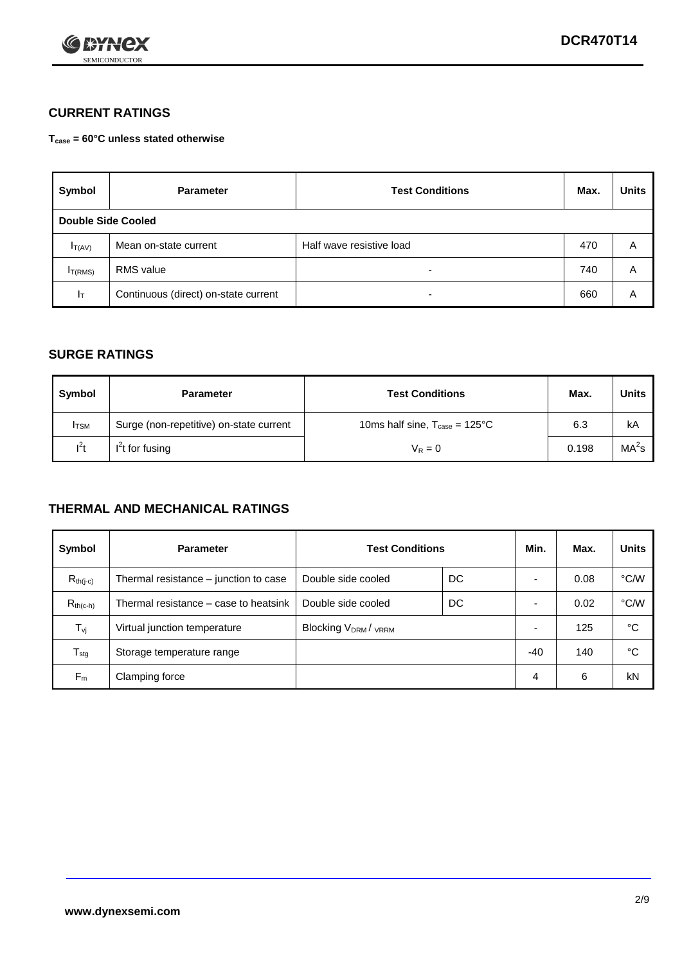

## **CURRENT RATINGS**

**Tcase = 60°C unless stated otherwise**

| Symbol             | <b>Parameter</b>                     | <b>Test Conditions</b>   |     | <b>Units</b> |  |
|--------------------|--------------------------------------|--------------------------|-----|--------------|--|
| Double Side Cooled |                                      |                          |     |              |  |
| $I_{T(AV)}$        | Mean on-state current                | Half wave resistive load | 470 | A            |  |
| $I_{T(RMS)}$       | RMS value                            | $\overline{\phantom{a}}$ | 740 | Α            |  |
| Iт                 | Continuous (direct) on-state current | $\overline{\phantom{a}}$ | 660 | Α            |  |

#### **SURGE RATINGS**

| <b>Symbol</b> | <b>Parameter</b>                        | <b>Test Conditions</b>                           | Max.  | <b>Units</b>      |
|---------------|-----------------------------------------|--------------------------------------------------|-------|-------------------|
| <b>I</b> TSM  | Surge (non-repetitive) on-state current | 10ms half sine, $T_{\text{case}} = 125^{\circ}C$ | 6.3   | kA                |
| $l^2t$        | $I2t$ for fusing                        | $V_R = 0$                                        | 0.198 | MA <sup>2</sup> s |

### **THERMAL AND MECHANICAL RATINGS**

| Symbol           | <b>Parameter</b>                      | <b>Test Conditions</b>    |    | Min.  | Max. | <b>Units</b> |
|------------------|---------------------------------------|---------------------------|----|-------|------|--------------|
| $R_{th(j-c)}$    | Thermal resistance – junction to case | Double side cooled        | DC |       | 0.08 | °C/W         |
| $R_{th(c-h)}$    | Thermal resistance – case to heatsink | Double side cooled        | DC |       | 0.02 | °C/W         |
| $T_{\nu j}$      | Virtual junction temperature          | <b>Blocking VDRM/VRRM</b> |    |       | 125  | °C           |
| $T_{\text{stg}}$ | Storage temperature range             |                           |    | $-40$ | 140  | °C           |
| $F_m$            | Clamping force                        |                           |    | 4     | 6    | kN           |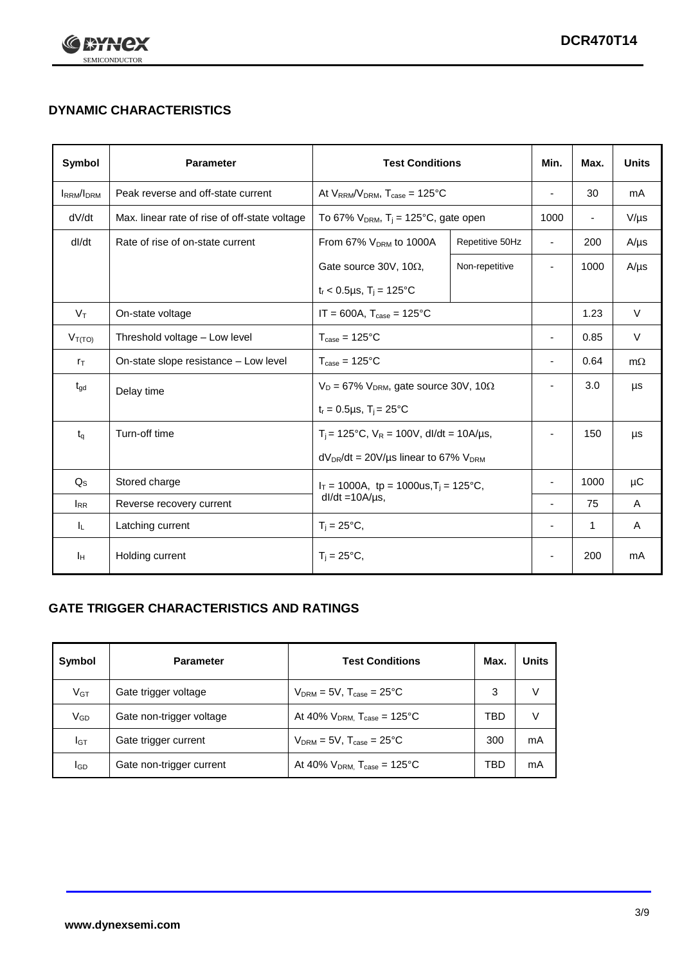

## **DYNAMIC CHARACTERISTICS**

| Symbol            | <b>Parameter</b>                              | <b>Test Conditions</b>                                                |                 | Min.                     | Max.                     | <b>Units</b> |
|-------------------|-----------------------------------------------|-----------------------------------------------------------------------|-----------------|--------------------------|--------------------------|--------------|
| <b>IRRM</b> /IDRM | Peak reverse and off-state current            | At $V_{RRM}/V_{DRM}$ , $T_{case} = 125^{\circ}C$                      |                 | $\overline{a}$           | 30                       | mA           |
| dV/dt             | Max. linear rate of rise of off-state voltage | To 67% $V_{DRM}$ , T <sub>i</sub> = 125°C, gate open                  |                 | 1000                     | $\overline{\phantom{a}}$ | $V/\mu s$    |
| dl/dt             | Rate of rise of on-state current              | From 67% $V_{DRM}$ to 1000A                                           | Repetitive 50Hz | $\blacksquare$           | 200                      | $A/\mu s$    |
|                   |                                               | Gate source 30V, 10 $\Omega$ ,                                        | Non-repetitive  | -                        | 1000                     | $A/\mu s$    |
|                   |                                               | $t_r$ < 0.5µs, $T_i$ = 125°C                                          |                 |                          |                          |              |
| $V_T$             | On-state voltage                              | $IT = 600A$ , $T_{case} = 125^{\circ}C$                               |                 |                          | 1.23                     | $\vee$       |
| $V_{T(TO)}$       | Threshold voltage - Low level                 | $T_{\text{case}} = 125^{\circ}C$                                      |                 | $\blacksquare$           | 0.85                     | $\vee$       |
| $r_{\text{T}}$    | On-state slope resistance - Low level         | $T_{\text{case}} = 125^{\circ}C$                                      |                 | ÷,                       | 0.64                     | $m\Omega$    |
| $t_{\rm gd}$      | Delay time                                    | $V_D = 67\%$ V <sub>DRM</sub> , gate source 30V, 10 $\Omega$          |                 | ٠                        | 3.0                      | μs           |
|                   |                                               | $t_r = 0.5 \mu s$ , $T_i = 25^{\circ}C$                               |                 |                          |                          |              |
| $t_{q}$           | Turn-off time                                 | $T_i$ = 125°C, $V_R$ = 100V, dl/dt = 10A/us,                          |                 | $\overline{\phantom{0}}$ | 150                      | μs           |
|                   |                                               | $dV_{DR}/dt = 20 V/\mu s$ linear to 67% $V_{DRM}$                     |                 |                          |                          |              |
| $Q_{\rm S}$       | Stored charge                                 | $I_T = 1000A$ , tp = 1000us, $T_i = 125$ °C,<br>$dl/dt = 10A/\mu s$ , |                 |                          | 1000                     | $\mu$ C      |
| $I_{RR}$          | Reverse recovery current                      |                                                                       |                 |                          | 75                       | A            |
| IL.               | Latching current                              | $T_i = 25^{\circ}C$ ,                                                 |                 | ٠                        | 1                        | Α            |
| ΙH                | Holding current                               | $T_i = 25^{\circ}C,$                                                  |                 |                          | 200                      | mA           |

## **GATE TRIGGER CHARACTERISTICS AND RATINGS**

| Symbol          | <b>Test Conditions</b><br><b>Parameter</b> |                                       | Max. | Units |
|-----------------|--------------------------------------------|---------------------------------------|------|-------|
| V <sub>GT</sub> | Gate trigger voltage                       | $V_{DRM}$ = 5V, $T_{case}$ = 25°C     | 3    | V     |
| $V_{GD}$        | Gate non-trigger voltage                   | At 40% $V_{DRM}$ , $T_{case}$ = 125°C | TBD  | V     |
| Iст             | Gate trigger current                       | $V_{DRM}$ = 5V, $T_{case}$ = 25°C     | 300  | mA    |
| <b>I</b> GD     | Gate non-trigger current                   | At 40% $V_{DRM}$ , $T_{case}$ = 125°C | TBD  | mA    |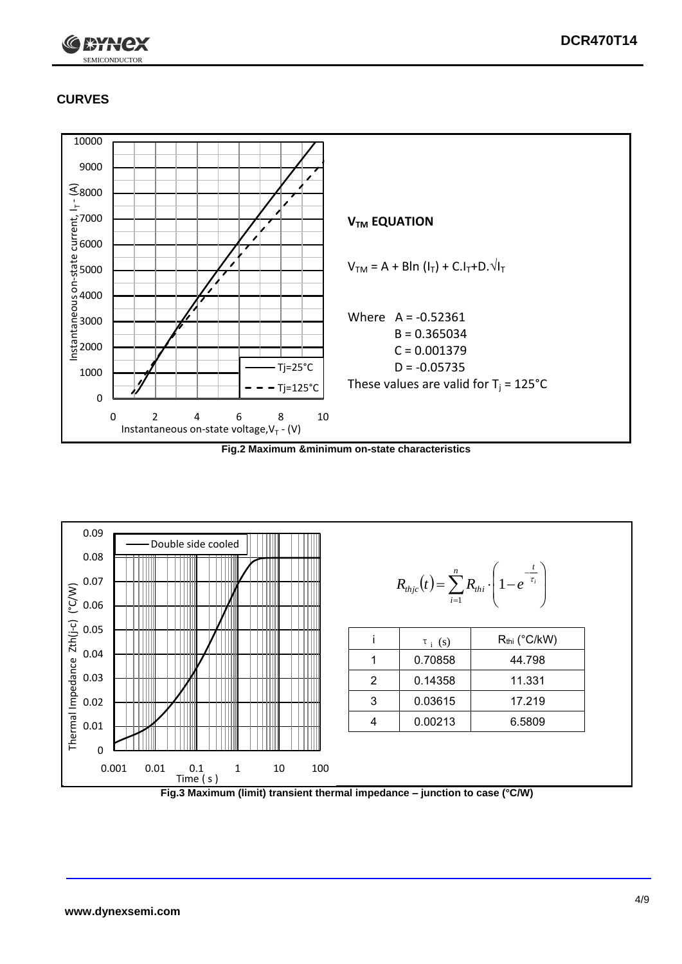

## **CURVES**



**Fig.2 Maximum &minimum on-state characteristics**



**Fig.3 Maximum (limit) transient thermal impedance – junction to case (°C/W)**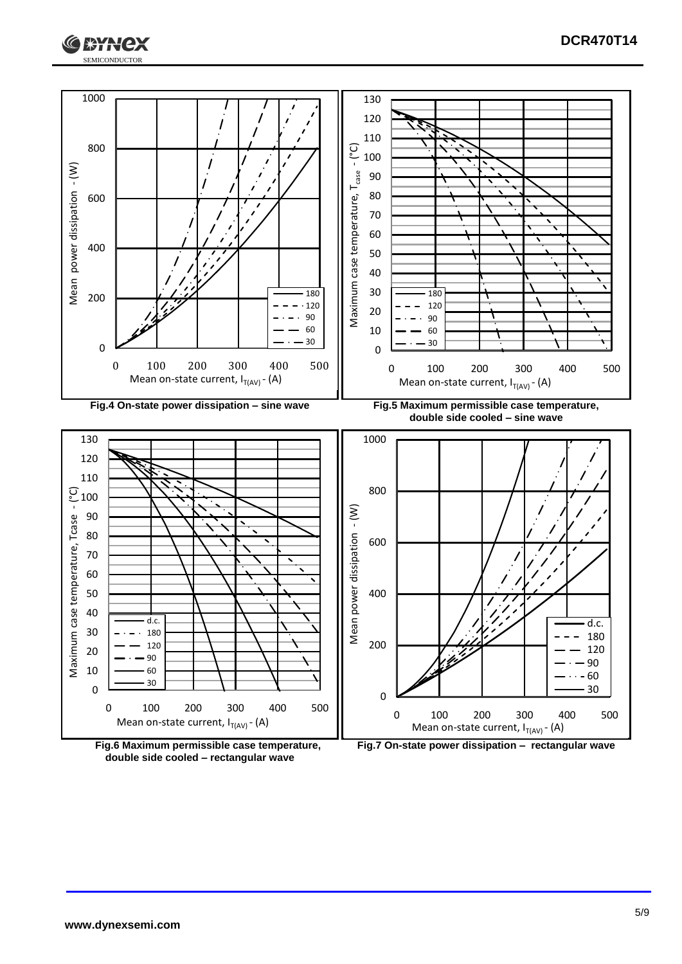







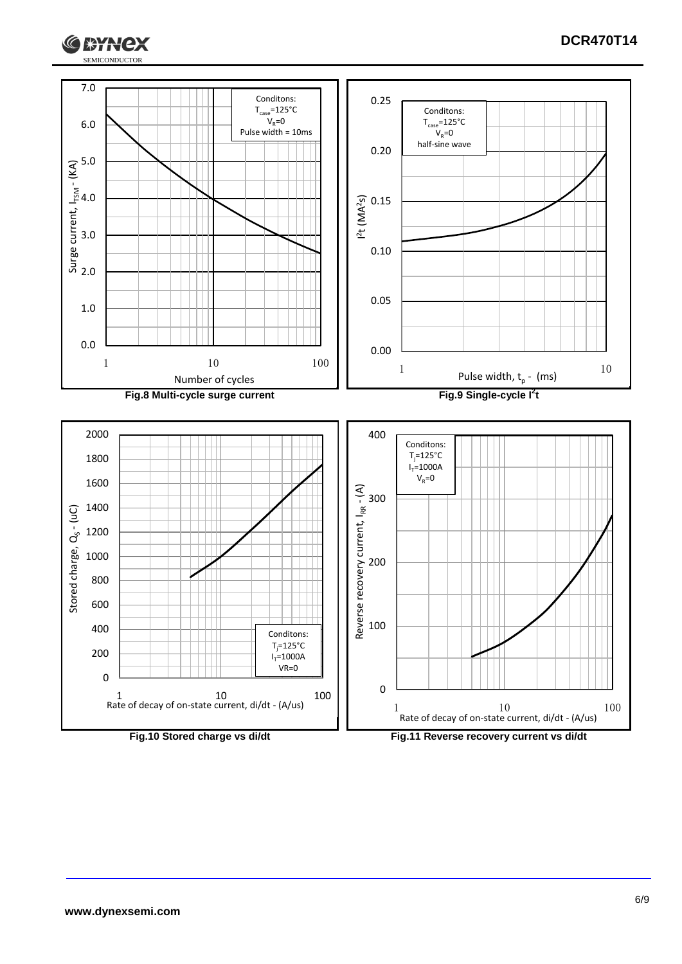

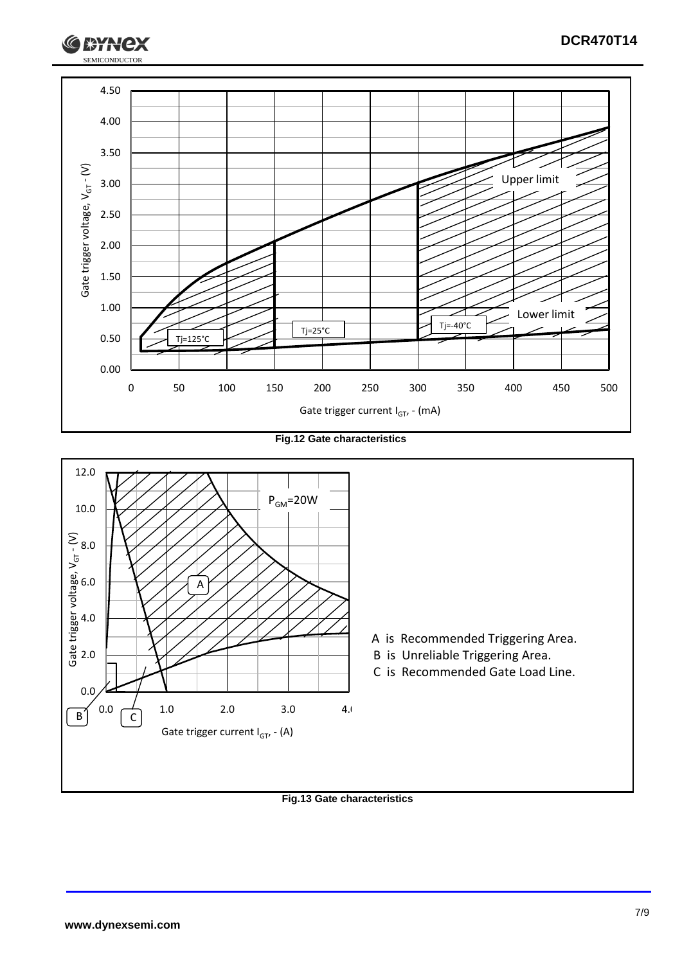

**Fig.12 Gate characteristics**



**Fig.13 Gate characteristics**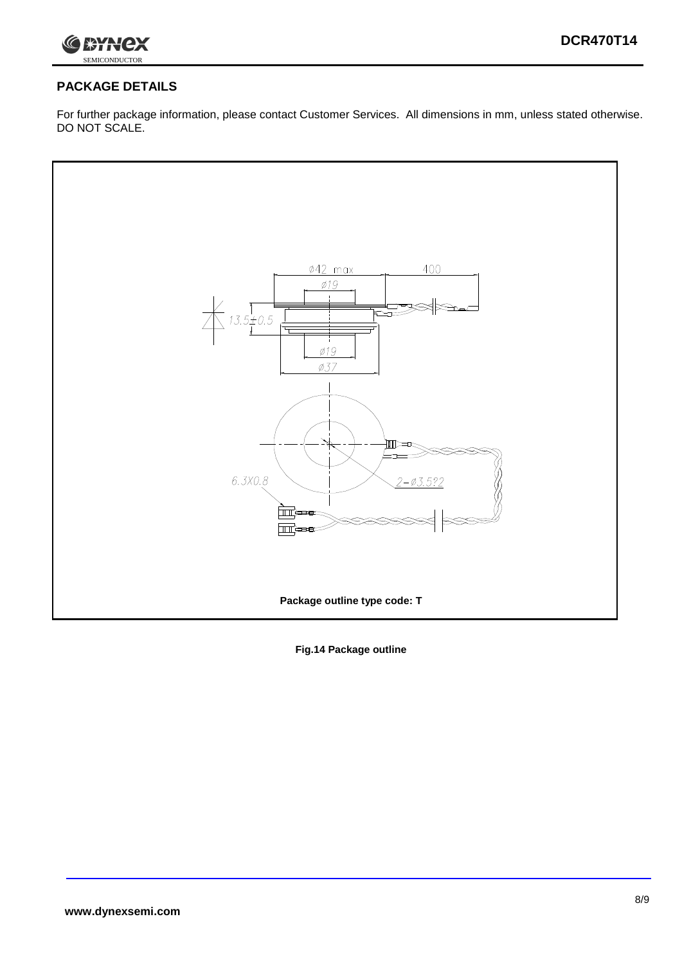

## **PACKAGE DETAILS**

For further package information, please contact Customer Services. All dimensions in mm, unless stated otherwise. DO NOT SCALE.



**Fig.14 Package outline**